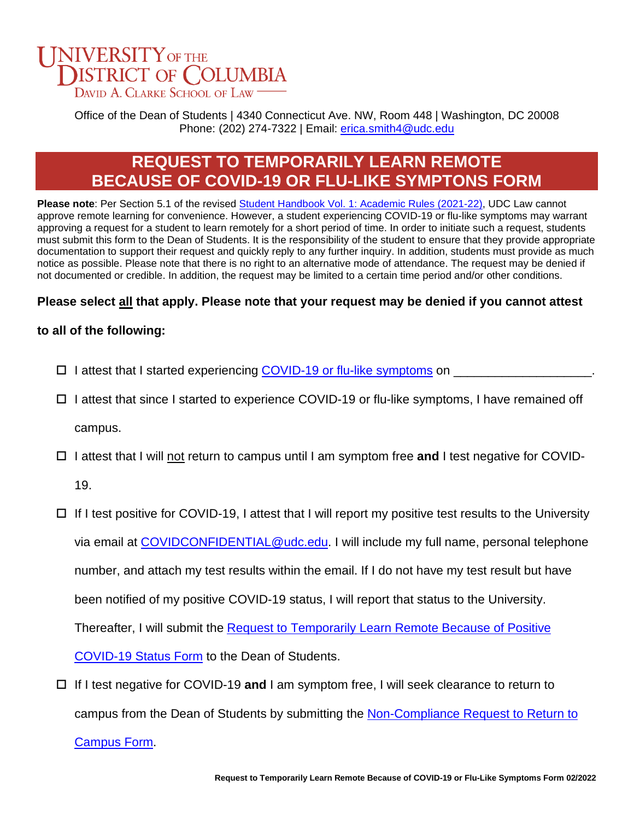## **NIVERSITY OF THE DISTRICT OF COLUMBIA** DAVID A. CLARKE SCHOOL OF LAW

Office of the Dean of Students | 4340 Connecticut Ave. NW, Room 448 | Washington, DC 20008 Phone: (202) 274-7322 | Email: [erica.smith4@udc.edu](mailto:erica.smith4@udc.edu)

# **REQUEST TO TEMPORARILY LEARN REMOTE BECAUSE OF COVID-19 OR FLU-LIKE SYMPTONS FORM**

Please note: Per Section 5.1 of the revised [Student Handbook Vol. 1: Academic Rules \(2021-22\),](mailto:https://law.udc.edu/wp-content/uploads/2021/12/Student_Handbook_Vol_I_2021.pdf) UDC Law cannot approve remote learning for convenience. However, a student experiencing COVID-19 or flu-like symptoms may warrant approving a request for a student to learn remotely for a short period of time. In order to initiate such a request, students must submit this form to the Dean of Students. It is the responsibility of the student to ensure that they provide appropriate documentation to support their request and quickly reply to any further inquiry. In addition, students must provide as much notice as possible. Please note that there is no right to an alternative mode of attendance. The request may be denied if not documented or credible. In addition, the request may be limited to a certain time period and/or other conditions.

### **Please select all that apply. Please note that your request may be denied if you cannot attest**

### **to all of the following:**

- $\Box$  I attest that I started experiencing [COVID-19](https://www.cdc.gov/coronavirus/2019-ncov/symptoms-testing/symptoms.html) or flu[-like symptoms](https://www.cdc.gov/coronavirus/2019-ncov/symptoms-testing/symptoms.html) on
- $\Box$  I attest that since I started to experience COVID-19 or flu-like symptoms, I have remained off campus.
- I attest that I will not return to campus until I am symptom free **and** I test negative for COVID-

19.

- $\Box$  If I test positive for COVID-19, I attest that I will report my positive test results to the University via email at [COVIDCONFIDENTIAL@udc.edu.](mailto:COVIDCONFIDENTIAL@udc.edu) I will include my full name, personal telephone number, and attach my test results within the email. If I do not have my test result but have been notified of my positive COVID-19 status, I will report that status to the University. Thereafter, I will submit the [Request to Temporarily Learn Remote Because of Positive](https://law.udc.edu/wp-content/uploads/2022/02/Request-to-Temporarily-Learn-Remote-Because-of-Positive-COVID-19-Status_Fillable.pdf)  [COVID-19 Status Form](https://law.udc.edu/wp-content/uploads/2022/02/Request-to-Temporarily-Learn-Remote-Because-of-Positive-COVID-19-Status_Fillable.pdf) to the Dean of Students.
- If I test negative for COVID-19 **and** I am symptom free, I will seek clearance to return to campus from the Dean of Students by submitting the [Non-Compliance Request to Return to](https://law.udc.edu/wp-content/uploads/2022/02/Non-Compliance-Request-to-Return-to-Campus-Form_Fillable.pdf)

[Campus Form.](https://law.udc.edu/wp-content/uploads/2022/02/Non-Compliance-Request-to-Return-to-Campus-Form_Fillable.pdf)